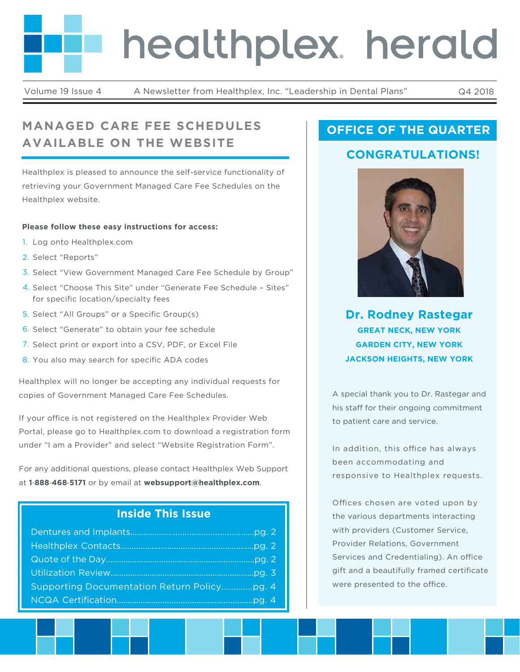# healthplex. herald

Volume 19 Issue 4 A Newsletter from Healthplex, Inc. "Leadership in Dental Plans" Q4 2018

# **MANAGED CARE FEE SCHEDULES AVAILABLE ON THE WEBSITE**

Healthplex is pleased to announce the self-service functionality of retrieving your Government Managed Care Fee Schedules on the Healthplex website.

#### **Please follow these easy instructions for access:**

- 1. Log onto Healthplex.com
- 2. Select "Reports"
- 3. Select "View Government Managed Care Fee Schedule by Group"
- 4. Select "Choose This Site" under "Generate Fee Schedule Sites" for specific location/specialty fees
- 5. Select "All Groups" or a Specific Group(s)
- 6. Select "Generate" to obtain your fee schedule
- 7. Select print or export into a CSV, PDF, or Excel File
- 8. You also may search for specific ADA codes

Healthplex will no longer be accepting any individual requests for copies of Government Managed Care Fee Schedules.

If your office is not registered on the Healthplex Provider Web Portal, please go to Healthplex.com to download a registration form under "I am a Provider" and select "Website Registration Form".

For any additional questions, please contact Healthplex Web Support at **1**‐**888**‐**468**‐**5171** or by email at **websupport@healthplex.com**.

### **Inside This Issue**

## **OFFICE OF THE QUARTER**

## **CONGRATULATIONS!**



**Dr. Rodney Rastegar GREAT NECK, NEW YORK GARDEN CITY, NEW YORK JACKSON HEIGHTS, NEW YORK**

A special thank you to Dr. Rastegar and his staff for their ongoing commitment to patient care and service.

In addition, this office has always been accommodating and responsive to Healthplex requests.

Offices chosen are voted upon by the various departments interacting with providers (Customer Service, Provider Relations, Government Services and Credentialing). An office gift and a beautifully framed certificate were presented to the office.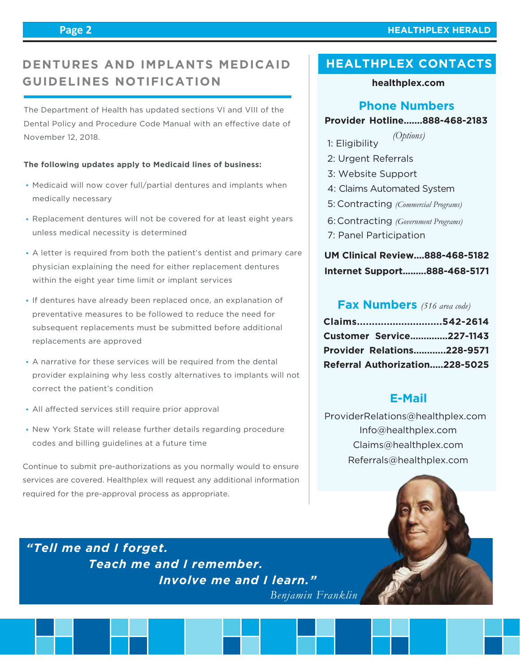#### **Page 2**

#### **HEALTHPLEX HERALD**

## **DENTURES AND IMPLANTS MEDICAID GUIDELINES NOTIFICATION**

The Department of Health has updated sections VI and VIII of the Dental Policy and Procedure Code Manual with an effective date of November 12, 2018.

#### **The following updates apply to Medicaid lines of business:**

- Medicaid will now cover full/partial dentures and implants when medically necessary
- Replacement dentures will not be covered for at least eight years unless medical necessity is determined
- A letter is required from both the patient's dentist and primary care physician explaining the need for either replacement dentures within the eight year time limit or implant services
- If dentures have already been replaced once, an explanation of preventative measures to be followed to reduce the need for subsequent replacements must be submitted before additional replacements are approved
- A narrative for these services will be required from the dental provider explaining why less costly alternatives to implants will not correct the patient's condition
- All affected services still require prior approval
- . New York State will release further details regarding procedure codes and billing guidelines at a future time

Continue to submit pre-authorizations as you normally would to ensure services are covered. Healthplex will request any additional information required for the pre-approval process as appropriate.

## **HEALTHPLEX CONTACTS**

#### **healthplex.com**

#### **Phone Numbers**

#### **Provider Hotline.......888-468-2183**

- 1: Eligibility *(Options)*
- 2: Urgent Referrals
- 3: Website Support
- 4: Claims Automated System
- Contracting *(Commercial Programs)* 5:
- Contracting *(Government Programs)* 6:
- 7: Panel Participation

## **UM Clinical Review....888-468-5182 Internet Support.........888-468-5171**

#### **Fax Numbers** *(516 area code)*

| Claims542-2614                    |  |
|-----------------------------------|--|
| <b>Customer Service227-1143</b>   |  |
| <b>Provider Relations228-9571</b> |  |
| Referral Authorization228-5025    |  |

#### **E-Mail**

 Info@healthplex.com ProviderRelations@healthplex.com Claims@healthplex.com Referrals@healthplex.com

*"Tell me and I forget. Teach me and I remember. Involve me and I learn."*

*Benjamin Franklin*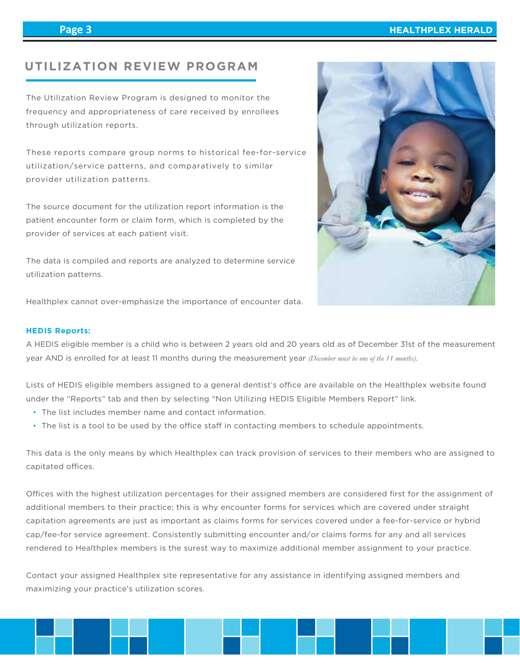## **UTILIZATION REVIEW PROGRAM**

The Utilization Review Program is designed to monitor the frequency and appropriateness of care received by enrollees through utilization reports.

These reports compare group norms to historical fee-for-service utilization/service patterns, and comparatively to similar provider utilization patterns.

The source document for the utilization report information is the patient encounter form or claim form, which is completed by the provider of services at each patient visit.

The data is compiled and reports are analyzed to determine service utilization patterns.



Healthplex cannot over-emphasize the importance of encounter data.

#### **HEDIS Reports:**

A HEDIS eligible member is a child who is between 2 years old and 20 years old as of December 31st of the measurement year AND is enrolled for at least 11 months during the measurement year *(December must be one of the 11 months)*.

Lists of HEDIS eligible members assigned to a general dentist's office are available on the Healthplex website found under the "Reports" tab and then by selecting "Non Utilizing HEDIS Eligible Members Report" link.

- The list includes member name and contact information.
- The list is a tool to be used by the office staff in contacting members to schedule appointments.

This data is the only means by which Healthplex can track provision of services to their members who are assigned to capitated offices.

Offices with the highest utilization percentages for their assigned members are considered first for the assignment of additional members to their practice; this is why encounter forms for services which are covered under straight capitation agreements are just as important as claims forms for services covered under a fee-for-service or hybrid cap/fee-for service agreement. Consistently submitting encounter and/or claims forms for any and all services rendered to Healthplex members is the surest way to maximize additional member assignment to your practice.

Contact your assigned Healthplex site representative for any assistance in identifying assigned members and maximizing your practice's utilization scores.